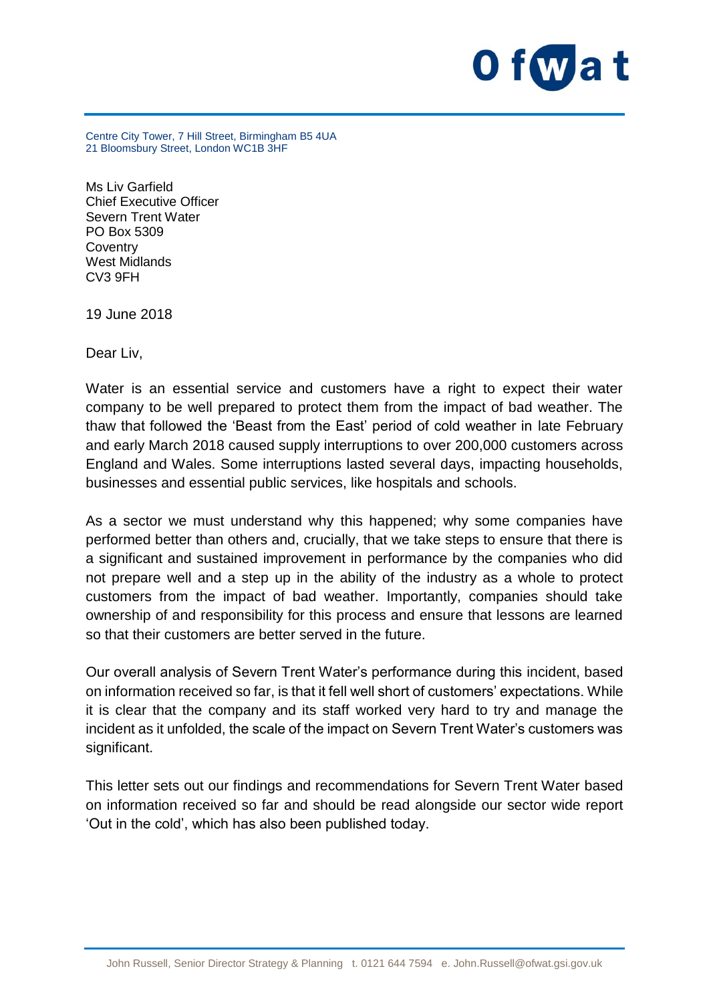

Centre City Tower, 7 Hill Street, Birmingham B5 4UA 21 Bloomsbury Street, London WC1B 3HF

Ms Liv Garfield Chief Executive Officer Severn Trent Water PO Box 5309 **Coventry** West Midlands CV3 9FH

19 June 2018

Dear Liv,

Water is an essential service and customers have a right to expect their water company to be well prepared to protect them from the impact of bad weather. The thaw that followed the 'Beast from the East' period of cold weather in late February and early March 2018 caused supply interruptions to over 200,000 customers across England and Wales. Some interruptions lasted several days, impacting households, businesses and essential public services, like hospitals and schools.

As a sector we must understand why this happened; why some companies have performed better than others and, crucially, that we take steps to ensure that there is a significant and sustained improvement in performance by the companies who did not prepare well and a step up in the ability of the industry as a whole to protect customers from the impact of bad weather. Importantly, companies should take ownership of and responsibility for this process and ensure that lessons are learned so that their customers are better served in the future.

Our overall analysis of Severn Trent Water's performance during this incident, based on information received so far, is that it fell well short of customers' expectations. While it is clear that the company and its staff worked very hard to try and manage the incident as it unfolded, the scale of the impact on Severn Trent Water's customers was significant.

This letter sets out our findings and recommendations for Severn Trent Water based on information received so far and should be read alongside our sector wide report 'Out in the cold', which has also been published today.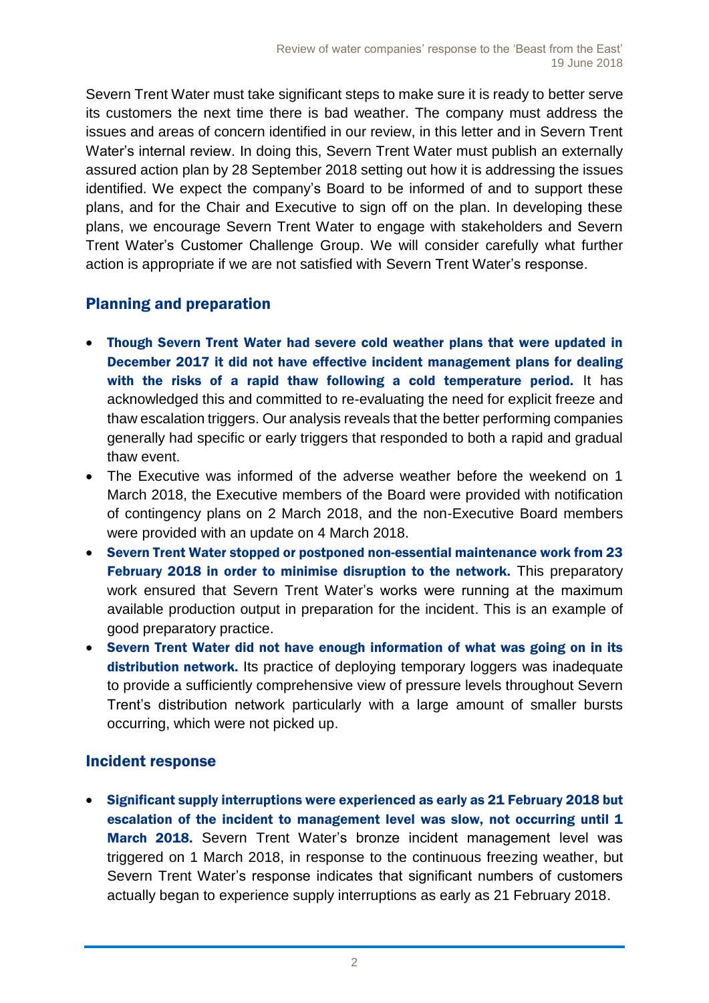Severn Trent Water must take significant steps to make sure it is ready to better serve its customers the next time there is bad weather. The company must address the issues and areas of concern identified in our review, in this letter and in Severn Trent Water's internal review. In doing this, Severn Trent Water must publish an externally assured action plan by 28 September 2018 setting out how it is addressing the issues identified. We expect the company's Board to be informed of and to support these plans, and for the Chair and Executive to sign off on the plan. In developing these plans, we encourage Severn Trent Water to engage with stakeholders and Severn Trent Water's Customer Challenge Group. We will consider carefully what further action is appropriate if we are not satisfied with Severn Trent Water's response.

# Planning and preparation

- Though Severn Trent Water had severe cold weather plans that were updated in December 2017 it did not have effective incident management plans for dealing with the risks of a rapid thaw following a cold temperature period. It has acknowledged this and committed to re-evaluating the need for explicit freeze and thaw escalation triggers. Our analysis reveals that the better performing companies generally had specific or early triggers that responded to both a rapid and gradual thaw event.
- The Executive was informed of the adverse weather before the weekend on 1 March 2018, the Executive members of the Board were provided with notification of contingency plans on 2 March 2018, and the non-Executive Board members were provided with an update on 4 March 2018.
- Severn Trent Water stopped or postponed non-essential maintenance work from 23 February 2018 in order to minimise disruption to the network. This preparatory work ensured that Severn Trent Water's works were running at the maximum available production output in preparation for the incident. This is an example of good preparatory practice.
- Severn Trent Water did not have enough information of what was going on in its distribution network. Its practice of deploying temporary loggers was inadequate to provide a sufficiently comprehensive view of pressure levels throughout Severn Trent's distribution network particularly with a large amount of smaller bursts occurring, which were not picked up.

## Incident response

 Significant supply interruptions were experienced as early as 21 February 2018 but escalation of the incident to management level was slow, not occurring until 1 March 2018. Severn Trent Water's bronze incident management level was triggered on 1 March 2018, in response to the continuous freezing weather, but Severn Trent Water's response indicates that significant numbers of customers actually began to experience supply interruptions as early as 21 February 2018.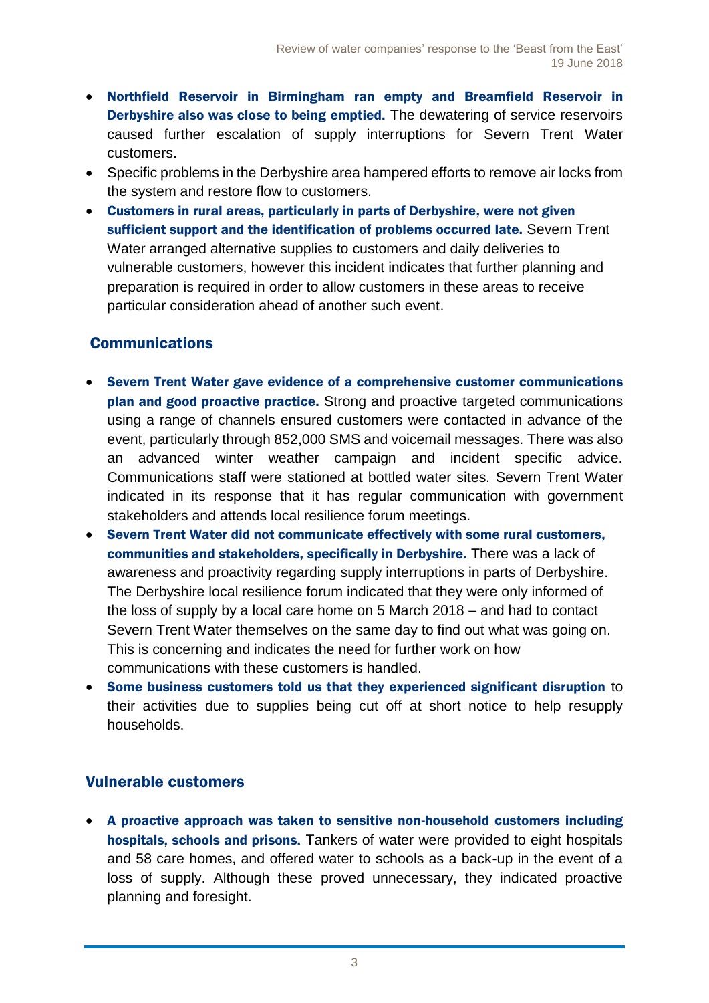- Northfield Reservoir in Birmingham ran empty and Breamfield Reservoir in Derbyshire also was close to being emptied. The dewatering of service reservoirs caused further escalation of supply interruptions for Severn Trent Water customers.
- Specific problems in the Derbyshire area hampered efforts to remove air locks from the system and restore flow to customers.
- Customers in rural areas, particularly in parts of Derbyshire, were not given sufficient support and the identification of problems occurred late. Severn Trent Water arranged alternative supplies to customers and daily deliveries to vulnerable customers, however this incident indicates that further planning and preparation is required in order to allow customers in these areas to receive particular consideration ahead of another such event.

## **Communications**

- Severn Trent Water gave evidence of a comprehensive customer communications plan and good proactive practice. Strong and proactive targeted communications using a range of channels ensured customers were contacted in advance of the event, particularly through 852,000 SMS and voicemail messages. There was also an advanced winter weather campaign and incident specific advice. Communications staff were stationed at bottled water sites. Severn Trent Water indicated in its response that it has regular communication with government stakeholders and attends local resilience forum meetings.
- Severn Trent Water did not communicate effectively with some rural customers, communities and stakeholders, specifically in Derbyshire. There was a lack of awareness and proactivity regarding supply interruptions in parts of Derbyshire. The Derbyshire local resilience forum indicated that they were only informed of the loss of supply by a local care home on 5 March 2018 – and had to contact Severn Trent Water themselves on the same day to find out what was going on. This is concerning and indicates the need for further work on how communications with these customers is handled.
- Some business customers told us that they experienced significant disruption to their activities due to supplies being cut off at short notice to help resupply households.

## Vulnerable customers

 A proactive approach was taken to sensitive non-household customers including hospitals, schools and prisons. Tankers of water were provided to eight hospitals and 58 care homes, and offered water to schools as a back-up in the event of a loss of supply. Although these proved unnecessary, they indicated proactive planning and foresight.